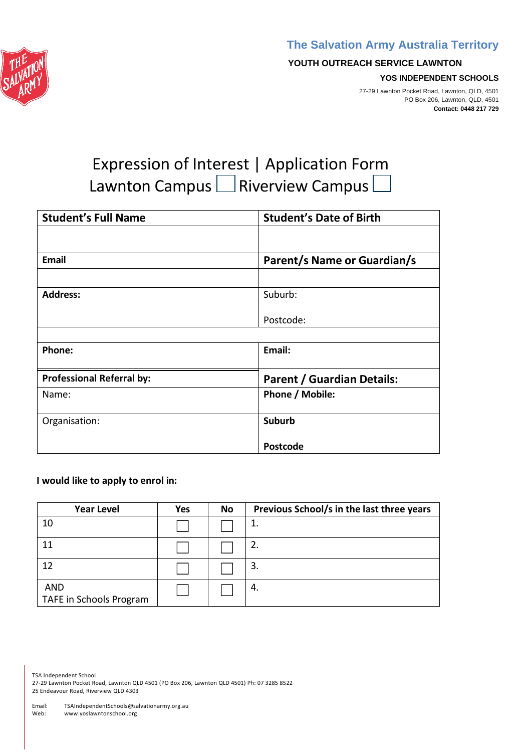



#### **YOUTH OUTREACH SERVICE LAWNTON**

#### **YOS INDEPENDENT SCHOOLS**

27-29 Lawnton Pocket Road, Lawnton, QLD, 4501 PO Box 206, Lawnton, QLD, 4501 **Contact: 0448 217 729**

# Expression of Interest | Application Form Lawnton Campus  $\square$  Riverview Campus

| <b>Student's Full Name</b>       | <b>Student's Date of Birth</b>    |
|----------------------------------|-----------------------------------|
|                                  |                                   |
| <b>Email</b>                     | Parent/s Name or Guardian/s       |
|                                  |                                   |
| <b>Address:</b>                  | Suburb:                           |
|                                  | Postcode:                         |
|                                  |                                   |
| Phone:                           | Email:                            |
| <b>Professional Referral by:</b> | <b>Parent / Guardian Details:</b> |
| Name:                            | Phone / Mobile:                   |
| Organisation:                    | <b>Suburb</b>                     |
|                                  | <b>Postcode</b>                   |

## **I would like to apply to enrol in:**

| <b>Year Level</b>                     | <b>Yes</b> | No | Previous School/s in the last three years |
|---------------------------------------|------------|----|-------------------------------------------|
| 10                                    |            |    | 1.                                        |
| 11                                    |            |    | 2.                                        |
| 12                                    |            |    | 3.                                        |
| <b>AND</b><br>TAFE in Schools Program |            |    | 4.                                        |

TSA Independent School

27-29 Lawnton Pocket Road, Lawnton QLD 4501 (PO Box 206, Lawnton QLD 4501) Ph: 07 3285 8522 25 Endeavour Road, Riverview QLD 4303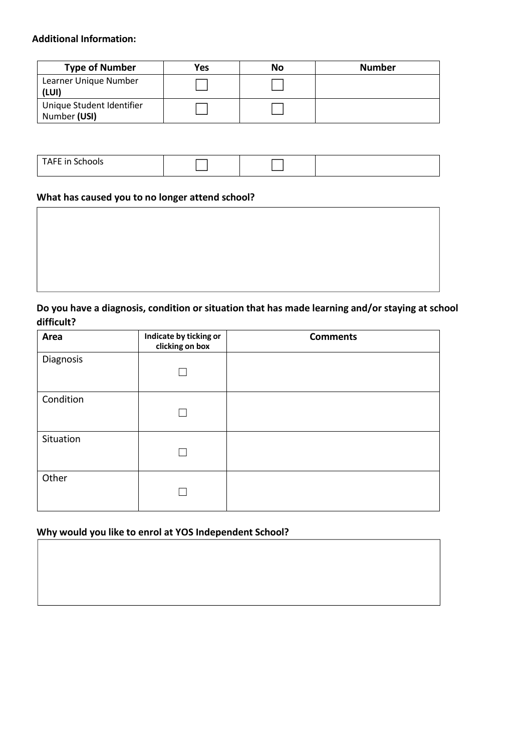## **Additional Information:**

| <b>Type of Number</b>                     | Yes | No | <b>Number</b> |
|-------------------------------------------|-----|----|---------------|
| Learner Unique Number<br>(LUI)            |     |    |               |
| Unique Student Identifier<br>Number (USI) |     |    |               |

| TAFE in Scho<br>כוטטו |  |  |
|-----------------------|--|--|
|                       |  |  |

# **What has caused you to no longer attend school?**

# **Do you have a diagnosis, condition or situation that has made learning and/or staying at school difficult?**

| Area      | Indicate by ticking or<br>clicking on box | <b>Comments</b> |
|-----------|-------------------------------------------|-----------------|
| Diagnosis |                                           |                 |
| Condition |                                           |                 |
| Situation |                                           |                 |
| Other     |                                           |                 |

## **Why would you like to enrol at YOS Independent School?**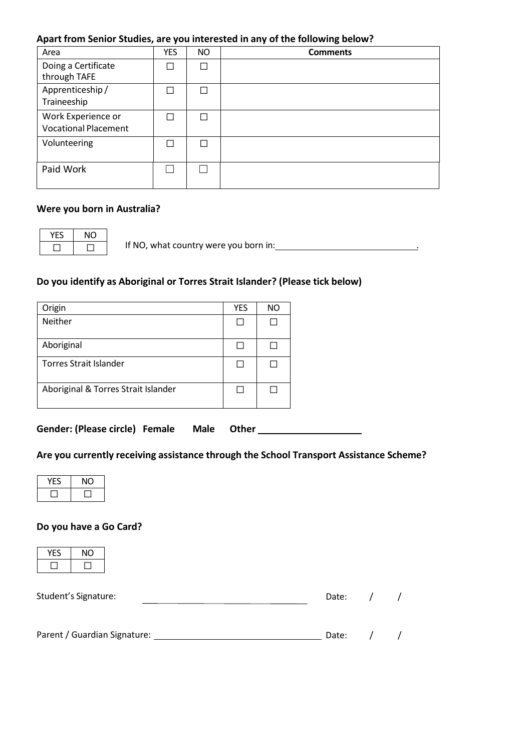#### **Apart from Senior Studies, are you interested in any of the following below?**

| Area                                              | <b>YES</b> | <b>NO</b> | <b>Comments</b> |
|---------------------------------------------------|------------|-----------|-----------------|
| Doing a Certificate<br>through TAFE               |            |           |                 |
| Apprenticeship/<br>Traineeship                    |            |           |                 |
| Work Experience or<br><b>Vocational Placement</b> |            |           |                 |
| Volunteering                                      |            |           |                 |
| Paid Work                                         |            |           |                 |

#### **Were you born in Australia?**

YES | NO  $\Box$ 

If NO, what country were you born in: .

## **Do you identify as Aboriginal or Torres Strait Islander? (Please tick below)**

| Origin                              | <b>YES</b>   | NO |
|-------------------------------------|--------------|----|
| Neither                             | $\mathsf{L}$ |    |
| Aboriginal                          | L            |    |
| Torres Strait Islander              | H            |    |
| Aboriginal & Torres Strait Islander | $\Box$       |    |

**Gender: (Please circle) Female Male Other** 

# **Are you currently receiving assistance through the School Transport Assistance Scheme?**

| O |
|---|
|   |

## **Do you have a Go Card?**

| ×. |  |
|----|--|
|    |  |

| Student's Signature:         | Date: |  |
|------------------------------|-------|--|
|                              |       |  |
| Parent / Guardian Signature: | Date: |  |